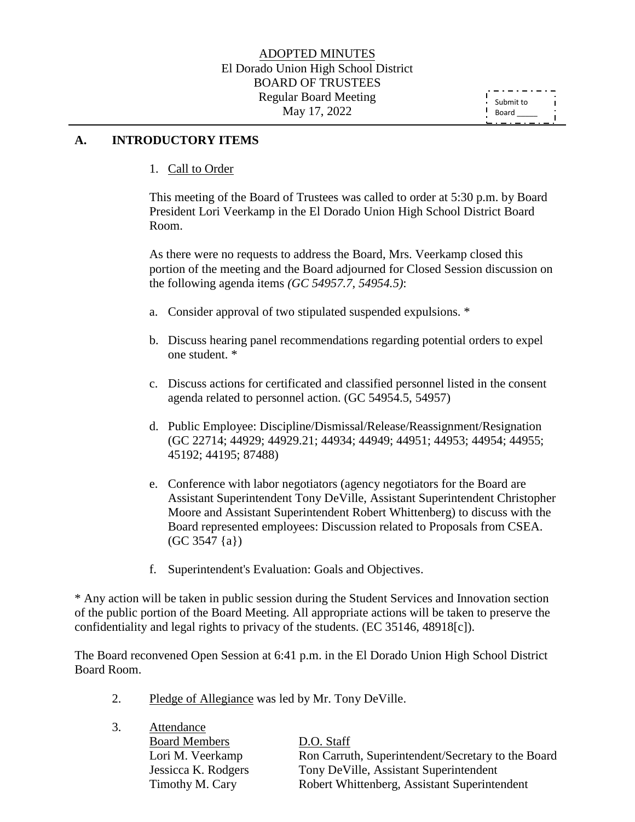#### **A. INTRODUCTORY ITEMS**

1. Call to Order

This meeting of the Board of Trustees was called to order at 5:30 p.m. by Board President Lori Veerkamp in the El Dorado Union High School District Board Room.

As there were no requests to address the Board, Mrs. Veerkamp closed this portion of the meeting and the Board adjourned for Closed Session discussion on the following agenda items *(GC 54957.7, 54954.5)*:

- a. Consider approval of two stipulated suspended expulsions. \*
- b. Discuss hearing panel recommendations regarding potential orders to expel one student. \*
- c. Discuss actions for certificated and classified personnel listed in the consent agenda related to personnel action. (GC 54954.5, 54957)
- d. Public Employee: Discipline/Dismissal/Release/Reassignment/Resignation (GC 22714; 44929; 44929.21; 44934; 44949; 44951; 44953; 44954; 44955; 45192; 44195; 87488)
- e. Conference with labor negotiators (agency negotiators for the Board are Assistant Superintendent Tony DeVille, Assistant Superintendent Christopher Moore and Assistant Superintendent Robert Whittenberg) to discuss with the Board represented employees: Discussion related to Proposals from CSEA. (GC 3547 {a})
- f. Superintendent's Evaluation: Goals and Objectives.

\* Any action will be taken in public session during the Student Services and Innovation section of the public portion of the Board Meeting. All appropriate actions will be taken to preserve the confidentiality and legal rights to privacy of the students. (EC 35146, 48918[c]).

The Board reconvened Open Session at 6:41 p.m. in the El Dorado Union High School District Board Room.

2. Pledge of Allegiance was led by Mr. Tony DeVille.

3. Attendance

| $\cup$ . | AUCHUAILE            |                                                    |
|----------|----------------------|----------------------------------------------------|
|          | <b>Board Members</b> | D.O. Staff                                         |
|          | Lori M. Veerkamp     | Ron Carruth, Superintendent/Secretary to the Board |
|          | Jessicca K. Rodgers  | Tony DeVille, Assistant Superintendent             |
|          | Timothy M. Cary      | Robert Whittenberg, Assistant Superintendent       |
|          |                      |                                                    |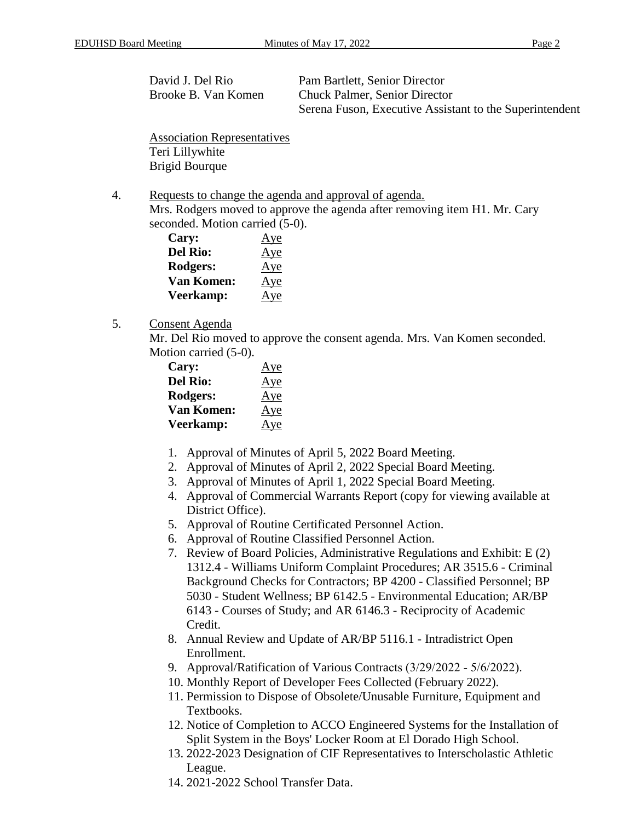David J. Del Rio Pam Bartlett, Senior Director Brooke B. Van Komen Chuck Palmer, Senior Director Serena Fuson, Executive Assistant to the Superintendent

Association Representatives Teri Lillywhite Brigid Bourque

4. Requests to change the agenda and approval of agenda. Mrs. Rodgers moved to approve the agenda after removing item H1. Mr. Cary seconded. Motion carried (5-0).

| Cary:             | Aye |
|-------------------|-----|
| <b>Del Rio:</b>   | Aye |
| Rodgers:          | Aye |
| <b>Van Komen:</b> | Aye |
| Veerkamp:         | Aye |

5. Consent Agenda

Mr. Del Rio moved to approve the consent agenda. Mrs. Van Komen seconded. Motion carried (5-0).

| Cary:             | Aye |
|-------------------|-----|
| <b>Del Rio:</b>   | Aye |
| Rodgers:          | Aye |
| <b>Van Komen:</b> | Aye |
| Veerkamp:         | Aye |

- 1. Approval of Minutes of April 5, 2022 Board Meeting.
- 2. Approval of Minutes of April 2, 2022 Special Board Meeting.
- 3. Approval of Minutes of April 1, 2022 Special Board Meeting.
- 4. Approval of Commercial Warrants Report (copy for viewing available at District Office).
- 5. Approval of Routine Certificated Personnel Action.
- 6. Approval of Routine Classified Personnel Action.
- 7. Review of Board Policies, Administrative Regulations and Exhibit: E (2) 1312.4 - Williams Uniform Complaint Procedures; AR 3515.6 - Criminal Background Checks for Contractors; BP 4200 - Classified Personnel; BP 5030 - Student Wellness; BP 6142.5 - Environmental Education; AR/BP 6143 - Courses of Study; and AR 6146.3 - Reciprocity of Academic Credit.
- 8. Annual Review and Update of AR/BP 5116.1 Intradistrict Open Enrollment.
- 9. Approval/Ratification of Various Contracts (3/29/2022 ‐ 5/6/2022).
- 10. Monthly Report of Developer Fees Collected (February 2022).
- 11. Permission to Dispose of Obsolete/Unusable Furniture, Equipment and Textbooks.
- 12. Notice of Completion to ACCO Engineered Systems for the Installation of Split System in the Boys' Locker Room at El Dorado High School.
- 13. 2022-2023 Designation of CIF Representatives to Interscholastic Athletic League.
- 14. 2021-2022 School Transfer Data.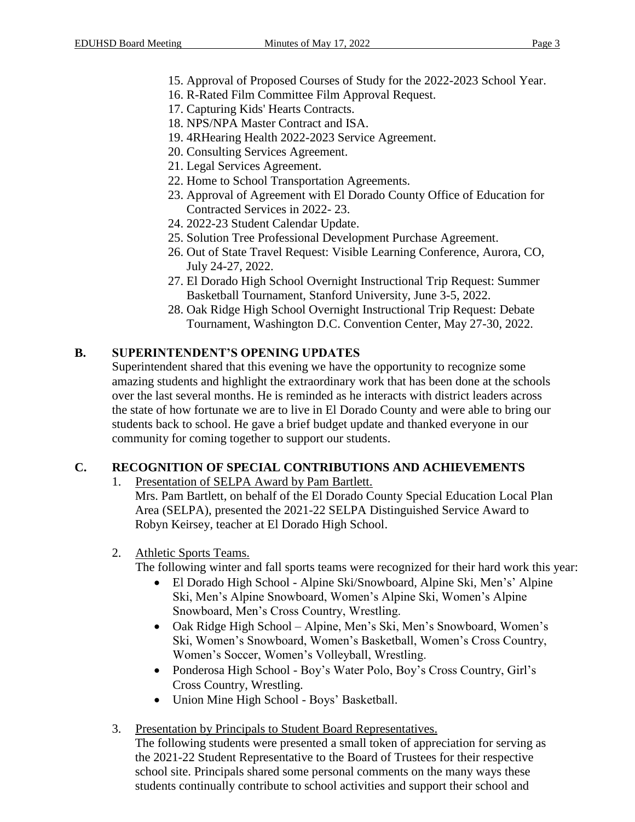- 15. Approval of Proposed Courses of Study for the 2022-2023 School Year.
- 16. R-Rated Film Committee Film Approval Request.
- 17. Capturing Kids' Hearts Contracts.
- 18. NPS/NPA Master Contract and ISA.
- 19. 4RHearing Health 2022-2023 Service Agreement.
- 20. Consulting Services Agreement.
- 21. Legal Services Agreement.
- 22. Home to School Transportation Agreements.
- 23. Approval of Agreement with El Dorado County Office of Education for Contracted Services in 2022- 23.
- 24. 2022-23 Student Calendar Update.
- 25. Solution Tree Professional Development Purchase Agreement.
- 26. Out of State Travel Request: Visible Learning Conference, Aurora, CO, July 24-27, 2022.
- 27. El Dorado High School Overnight Instructional Trip Request: Summer Basketball Tournament, Stanford University, June 3-5, 2022.
- 28. Oak Ridge High School Overnight Instructional Trip Request: Debate Tournament, Washington D.C. Convention Center, May 27-30, 2022.

# **B. SUPERINTENDENT'S OPENING UPDATES**

Superintendent shared that this evening we have the opportunity to recognize some amazing students and highlight the extraordinary work that has been done at the schools over the last several months. He is reminded as he interacts with district leaders across the state of how fortunate we are to live in El Dorado County and were able to bring our students back to school. He gave a brief budget update and thanked everyone in our community for coming together to support our students.

# **C. RECOGNITION OF SPECIAL CONTRIBUTIONS AND ACHIEVEMENTS**

1. Presentation of SELPA Award by Pam Bartlett.

Mrs. Pam Bartlett, on behalf of the El Dorado County Special Education Local Plan Area (SELPA), presented the 2021-22 SELPA Distinguished Service Award to Robyn Keirsey, teacher at El Dorado High School.

2. Athletic Sports Teams.

The following winter and fall sports teams were recognized for their hard work this year:

- El Dorado High School Alpine Ski/Snowboard, Alpine Ski, Men's' Alpine Ski, Men's Alpine Snowboard, Women's Alpine Ski, Women's Alpine Snowboard, Men's Cross Country, Wrestling.
- Oak Ridge High School Alpine, Men's Ski, Men's Snowboard, Women's Ski, Women's Snowboard, Women's Basketball, Women's Cross Country, Women's Soccer, Women's Volleyball, Wrestling.
- Ponderosa High School Boy's Water Polo, Boy's Cross Country, Girl's Cross Country, Wrestling.
- Union Mine High School Boys' Basketball.
- 3. Presentation by Principals to Student Board Representatives.

The following students were presented a small token of appreciation for serving as the 2021-22 Student Representative to the Board of Trustees for their respective school site. Principals shared some personal comments on the many ways these students continually contribute to school activities and support their school and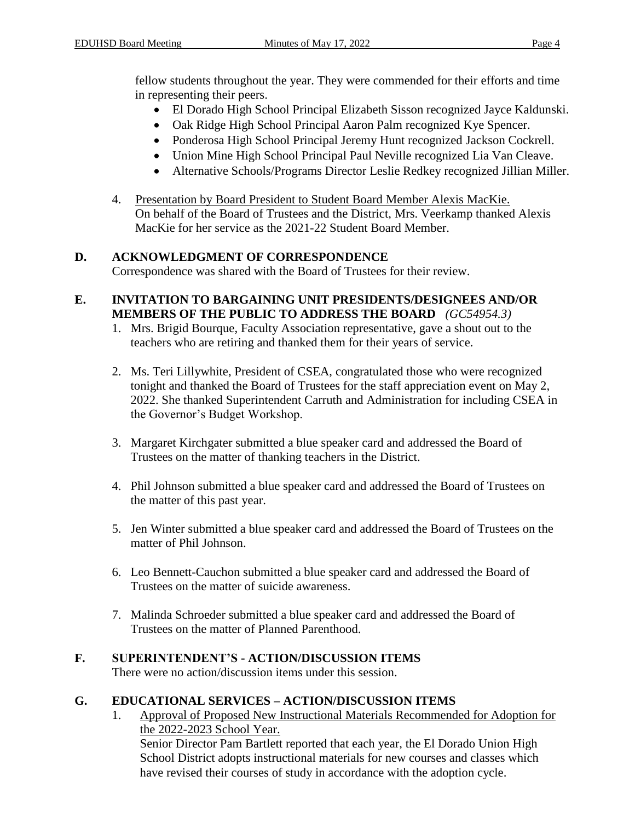fellow students throughout the year. They were commended for their efforts and time in representing their peers.

- El Dorado High School Principal Elizabeth Sisson recognized Jayce Kaldunski.
- Oak Ridge High School Principal Aaron Palm recognized Kye Spencer.
- Ponderosa High School Principal Jeremy Hunt recognized Jackson Cockrell.
- Union Mine High School Principal Paul Neville recognized Lia Van Cleave.
- Alternative Schools/Programs Director Leslie Redkey recognized Jillian Miller.
- 4. Presentation by Board President to Student Board Member Alexis MacKie. On behalf of the Board of Trustees and the District, Mrs. Veerkamp thanked Alexis MacKie for her service as the 2021-22 Student Board Member.

# **D. ACKNOWLEDGMENT OF CORRESPONDENCE**

Correspondence was shared with the Board of Trustees for their review.

#### **E. INVITATION TO BARGAINING UNIT PRESIDENTS/DESIGNEES AND/OR MEMBERS OF THE PUBLIC TO ADDRESS THE BOARD** *(GC54954.3)*

- 1. Mrs. Brigid Bourque, Faculty Association representative, gave a shout out to the teachers who are retiring and thanked them for their years of service.
- 2. Ms. Teri Lillywhite, President of CSEA, congratulated those who were recognized tonight and thanked the Board of Trustees for the staff appreciation event on May 2, 2022. She thanked Superintendent Carruth and Administration for including CSEA in the Governor's Budget Workshop.
- 3. Margaret Kirchgater submitted a blue speaker card and addressed the Board of Trustees on the matter of thanking teachers in the District.
- 4. Phil Johnson submitted a blue speaker card and addressed the Board of Trustees on the matter of this past year.
- 5. Jen Winter submitted a blue speaker card and addressed the Board of Trustees on the matter of Phil Johnson.
- 6. Leo Bennett-Cauchon submitted a blue speaker card and addressed the Board of Trustees on the matter of suicide awareness.
- 7. Malinda Schroeder submitted a blue speaker card and addressed the Board of Trustees on the matter of Planned Parenthood.

# **F. SUPERINTENDENT'S - ACTION/DISCUSSION ITEMS**

There were no action/discussion items under this session.

# **G. EDUCATIONAL SERVICES – ACTION/DISCUSSION ITEMS**

1. Approval of Proposed New Instructional Materials Recommended for Adoption for the 2022-2023 School Year. Senior Director Pam Bartlett reported that each year, the El Dorado Union High School District adopts instructional materials for new courses and classes which have revised their courses of study in accordance with the adoption cycle.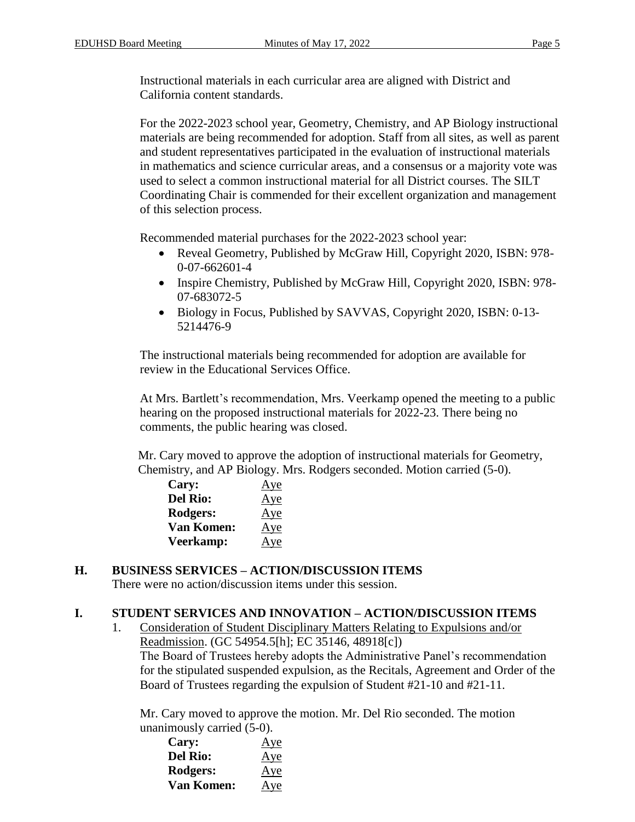Instructional materials in each curricular area are aligned with District and California content standards.

For the 2022-2023 school year, Geometry, Chemistry, and AP Biology instructional materials are being recommended for adoption. Staff from all sites, as well as parent and student representatives participated in the evaluation of instructional materials in mathematics and science curricular areas, and a consensus or a majority vote was used to select a common instructional material for all District courses. The SILT Coordinating Chair is commended for their excellent organization and management of this selection process.

Recommended material purchases for the 2022-2023 school year:

- Reveal Geometry, Published by McGraw Hill, Copyright 2020, ISBN: 978- 0-07-662601-4
- Inspire Chemistry, Published by McGraw Hill, Copyright 2020, ISBN: 978-07-683072-5
- Biology in Focus, Published by SAVVAS, Copyright 2020, ISBN: 0-13- 5214476-9

The instructional materials being recommended for adoption are available for review in the Educational Services Office.

At Mrs. Bartlett's recommendation, Mrs. Veerkamp opened the meeting to a public hearing on the proposed instructional materials for 2022-23. There being no comments, the public hearing was closed.

Mr. Cary moved to approve the adoption of instructional materials for Geometry, Chemistry, and AP Biology. Mrs. Rodgers seconded. Motion carried (5-0).

| Cary:             | Aye |
|-------------------|-----|
| <b>Del Rio:</b>   | Aye |
| Rodgers:          | Aye |
| <b>Van Komen:</b> | Aye |
| Veerkamp:         | Aye |

# **H. BUSINESS SERVICES – ACTION/DISCUSSION ITEMS**

There were no action/discussion items under this session.

### **I. STUDENT SERVICES AND INNOVATION – ACTION/DISCUSSION ITEMS**

1. Consideration of Student Disciplinary Matters Relating to Expulsions and/or Readmission. (GC 54954.5[h]; EC 35146, 48918[c]) The Board of Trustees hereby adopts the Administrative Panel's recommendation for the stipulated suspended expulsion, as the Recitals, Agreement and Order of the Board of Trustees regarding the expulsion of Student #21-10 and #21-11.

Mr. Cary moved to approve the motion. Mr. Del Rio seconded. The motion unanimously carried (5-0).

| Cary:      | Aye |
|------------|-----|
| Del Rio:   | Aye |
| Rodgers:   | Aye |
| Van Komen: | Aye |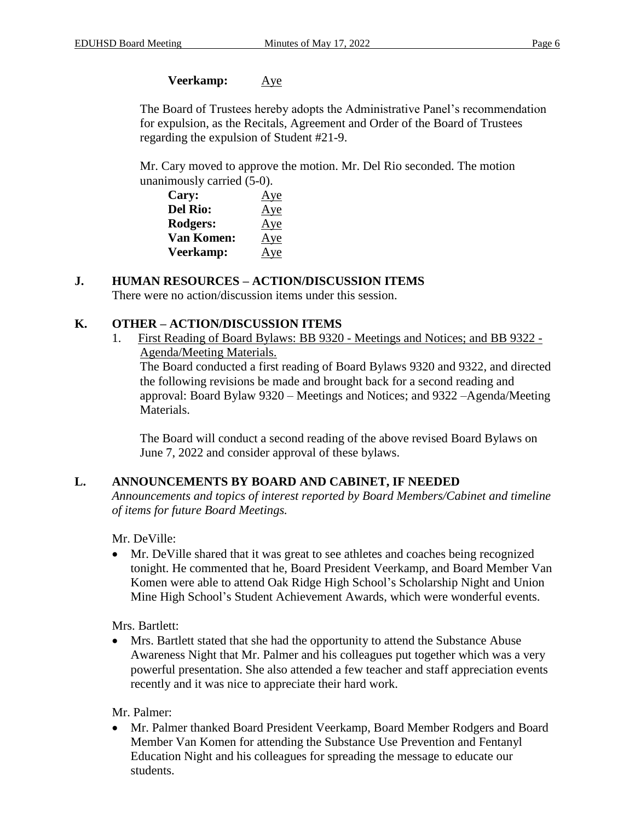### **Veerkamp:** Aye

The Board of Trustees hereby adopts the Administrative Panel's recommendation for expulsion, as the Recitals, Agreement and Order of the Board of Trustees regarding the expulsion of Student #21-9.

Mr. Cary moved to approve the motion. Mr. Del Rio seconded. The motion unanimously carried (5-0).

| Cary:             | Aye |
|-------------------|-----|
| <b>Del Rio:</b>   | Aye |
| Rodgers:          | Aye |
| <b>Van Komen:</b> | Aye |
| Veerkamp:         | Aye |

### **J. HUMAN RESOURCES – ACTION/DISCUSSION ITEMS**

There were no action/discussion items under this session.

### **K. OTHER – ACTION/DISCUSSION ITEMS**

1. First Reading of Board Bylaws: BB 9320 - Meetings and Notices; and BB 9322 - Agenda/Meeting Materials.

The Board conducted a first reading of Board Bylaws 9320 and 9322, and directed the following revisions be made and brought back for a second reading and approval: Board Bylaw 9320 – Meetings and Notices; and 9322 –Agenda/Meeting Materials.

The Board will conduct a second reading of the above revised Board Bylaws on June 7, 2022 and consider approval of these bylaws.

### **L. ANNOUNCEMENTS BY BOARD AND CABINET, IF NEEDED**

*Announcements and topics of interest reported by Board Members/Cabinet and timeline of items for future Board Meetings.*

Mr. DeVille:

 Mr. DeVille shared that it was great to see athletes and coaches being recognized tonight. He commented that he, Board President Veerkamp, and Board Member Van Komen were able to attend Oak Ridge High School's Scholarship Night and Union Mine High School's Student Achievement Awards, which were wonderful events.

Mrs. Bartlett:

 Mrs. Bartlett stated that she had the opportunity to attend the Substance Abuse Awareness Night that Mr. Palmer and his colleagues put together which was a very powerful presentation. She also attended a few teacher and staff appreciation events recently and it was nice to appreciate their hard work.

Mr. Palmer:

 Mr. Palmer thanked Board President Veerkamp, Board Member Rodgers and Board Member Van Komen for attending the Substance Use Prevention and Fentanyl Education Night and his colleagues for spreading the message to educate our students.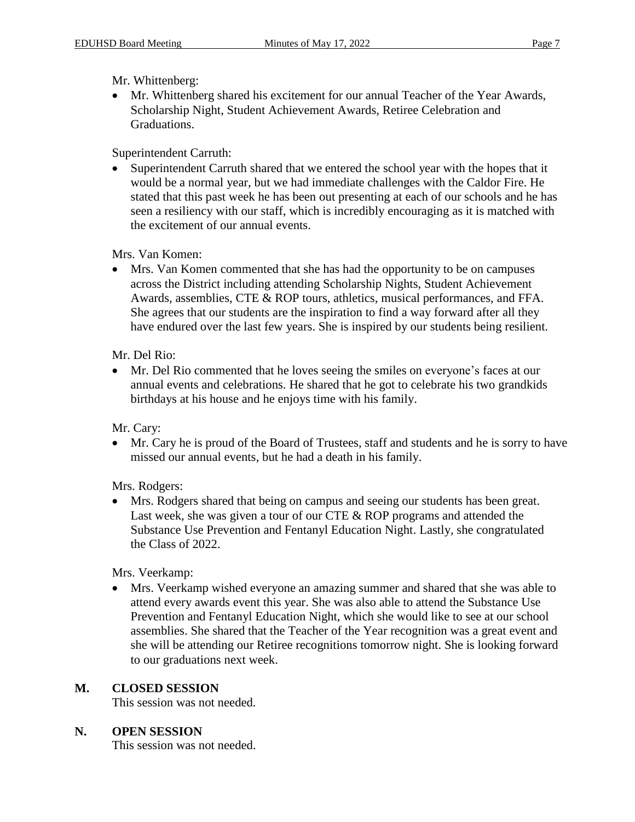Mr. Whittenberg:

 Mr. Whittenberg shared his excitement for our annual Teacher of the Year Awards, Scholarship Night, Student Achievement Awards, Retiree Celebration and Graduations.

Superintendent Carruth:

 Superintendent Carruth shared that we entered the school year with the hopes that it would be a normal year, but we had immediate challenges with the Caldor Fire. He stated that this past week he has been out presenting at each of our schools and he has seen a resiliency with our staff, which is incredibly encouraging as it is matched with the excitement of our annual events.

Mrs. Van Komen:

 Mrs. Van Komen commented that she has had the opportunity to be on campuses across the District including attending Scholarship Nights, Student Achievement Awards, assemblies, CTE & ROP tours, athletics, musical performances, and FFA. She agrees that our students are the inspiration to find a way forward after all they have endured over the last few years. She is inspired by our students being resilient.

Mr. Del Rio:

 Mr. Del Rio commented that he loves seeing the smiles on everyone's faces at our annual events and celebrations. He shared that he got to celebrate his two grandkids birthdays at his house and he enjoys time with his family.

Mr. Cary:

 Mr. Cary he is proud of the Board of Trustees, staff and students and he is sorry to have missed our annual events, but he had a death in his family.

Mrs. Rodgers:

 Mrs. Rodgers shared that being on campus and seeing our students has been great. Last week, she was given a tour of our CTE & ROP programs and attended the Substance Use Prevention and Fentanyl Education Night. Lastly, she congratulated the Class of 2022.

Mrs. Veerkamp:

 Mrs. Veerkamp wished everyone an amazing summer and shared that she was able to attend every awards event this year. She was also able to attend the Substance Use Prevention and Fentanyl Education Night, which she would like to see at our school assemblies. She shared that the Teacher of the Year recognition was a great event and she will be attending our Retiree recognitions tomorrow night. She is looking forward to our graduations next week.

# **M. CLOSED SESSION**

This session was not needed.

### **N. OPEN SESSION**

This session was not needed.